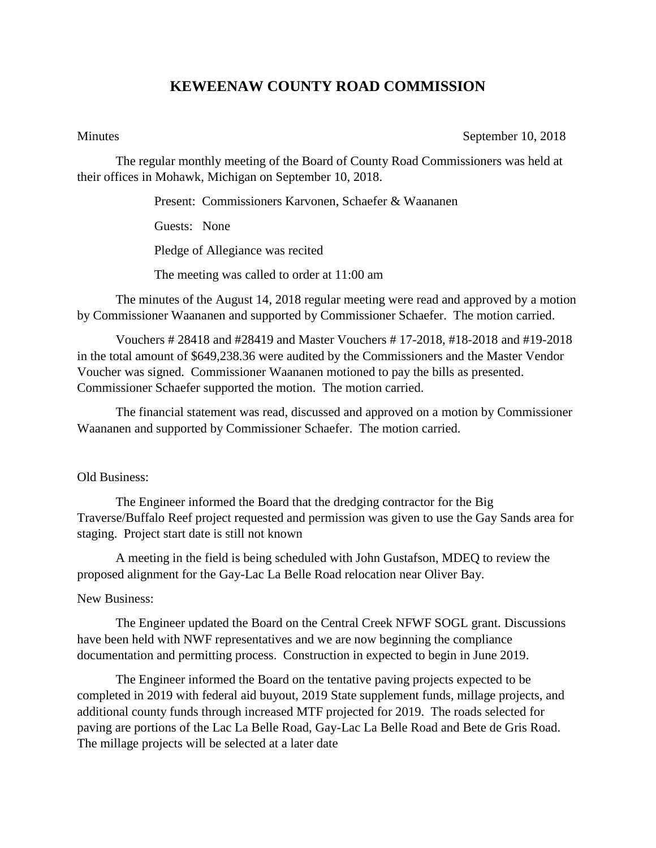## **KEWEENAW COUNTY ROAD COMMISSION**

Minutes September 10, 2018

The regular monthly meeting of the Board of County Road Commissioners was held at their offices in Mohawk, Michigan on September 10, 2018.

Present: Commissioners Karvonen, Schaefer & Waananen

Guests: None

Pledge of Allegiance was recited

The meeting was called to order at 11:00 am

The minutes of the August 14, 2018 regular meeting were read and approved by a motion by Commissioner Waananen and supported by Commissioner Schaefer. The motion carried.

Vouchers # 28418 and #28419 and Master Vouchers # 17-2018, #18-2018 and #19-2018 in the total amount of \$649,238.36 were audited by the Commissioners and the Master Vendor Voucher was signed. Commissioner Waananen motioned to pay the bills as presented. Commissioner Schaefer supported the motion. The motion carried.

The financial statement was read, discussed and approved on a motion by Commissioner Waananen and supported by Commissioner Schaefer. The motion carried.

## Old Business:

The Engineer informed the Board that the dredging contractor for the Big Traverse/Buffalo Reef project requested and permission was given to use the Gay Sands area for staging. Project start date is still not known

A meeting in the field is being scheduled with John Gustafson, MDEQ to review the proposed alignment for the Gay-Lac La Belle Road relocation near Oliver Bay.

## New Business:

The Engineer updated the Board on the Central Creek NFWF SOGL grant. Discussions have been held with NWF representatives and we are now beginning the compliance documentation and permitting process. Construction in expected to begin in June 2019.

The Engineer informed the Board on the tentative paving projects expected to be completed in 2019 with federal aid buyout, 2019 State supplement funds, millage projects, and additional county funds through increased MTF projected for 2019. The roads selected for paving are portions of the Lac La Belle Road, Gay-Lac La Belle Road and Bete de Gris Road. The millage projects will be selected at a later date